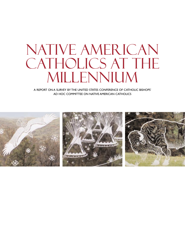# NATIVE AMERICAN CATHOLICS AT THE Millennium

A REPORT ON A SURVEY BY THE UNITED STATES CONFERENCE OF CATHOLIC BISHOPS' AD HOC COMMITTEE ON NATIVE AMERICAN CATHOLICS

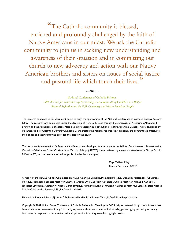"The Catholic community is blessed, enriched and profoundly challenged by the faith of Native Americans in our midst. We ask the Catholic community to join us in seeking new understanding and awareness of their situation and in committing our church to new advocacy and action with our Native American brothers and sisters on issues of social justice and pastoral life which touch their lives."

> National Conference of Catholic Bishops, *1992: A Time for Remembering, Reconciling, and Recommitting Ourselves as a People: Pastoral Reflections on the Fifth Centenary and Native American People*

 $\mathfrak{m}$ 

The research contained in this document began through the sponsorship of the National Conference of Catholic Bishops Research Office.The research was completed under the direction of Mary Beth Celio through the generosity of Archbishop Alexander J. Brunett and the Archdiocese of Seattle. Maps depicting geographical distribution of Native American Catholics were developed by Mr. James Alt III of Creighton University. Dr. John Usera created the regional reports. Most especially, the committee is grateful to the bishops and their staffs who provided the data for this study.

The document *Native American Catholics at the Millennium* was developed as a resource by the Ad Hoc Committee on Native American Catholics of the United States Conference of Catholic Bishops (USCCB). It was reviewed by the committee chairman, Bishop Donald E. Pelotte, SSS, and has been authorized for publication by the undersigned.

> Msgr. William P. Fay General Secretary, USCCB

A report of the USCCB Ad hoc Committee on Native American Catholics. Members: Most Rev. Donald E. Pelotte, SSS, (Chairman), Most Rev.Alexander J. Brunett, Most Rev. Charles J. Chaput, OFM Cap, Most Rev. Blase J. Cupich, Most Rev. Michael J. Kaniecki, SJ (deceased), Most Rev.Anthony M. Milone. Consultants: Rev. Raymond Bucko, SJ. Rev. John Hatcher, SJ, Msgr. Paul Lenz, Sr. Kateri Mitchell, SSA. Staff: Sr. Lourdes Sheehan, RSM, Mr. Daniel S. Mulhall

Photos: Rev. Raymond Bucko, SJ; maps: © Fr. Raymond Bucko, S.J. and James T.Ault, III 2002. Used by permission

Copyright © 2002, United States Conference of Catholic Bishops, Inc.,Washington, D.C.All rights reserved. No part of this work may be reproduced or transmitted in any form or by any means, electronic or mechanical, including photocopying, recording, or by any information storage and retrieval system, without permission in writing from the copyright holder.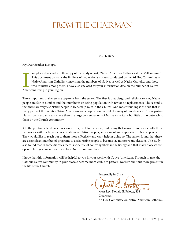# FROM THE CHAIRMAN

March 2003

My Dear Brother Bishops,

am pleased to send you the This document contains to Native American Catholic who minister among then Americans living in your region. am pleased to send you this copy of the study report, "Native American Catholics at the Millennium." This document contains the findings of two national surveys conducted by the Ad Hoc Committee on Native American Catholics concerning the numbers of Natives as well as Native Catholics and those who minister among them. I have also enclosed for your information data on the number of Native

Three important challenges are apparent from the survey. The first is that clergy and religious serving Native people are few in number and that number is an aging population with few or no replacements. The second is that there are very few Native people in leadership roles in the Church. And most troubling is the fact that in many parts of the country Native Americans are a population invisible to many of our dioceses. This is particularly true in urban areas where there are large concentrations of Native Americans but little or no outreach to them by the Church community.

On the positive side, dioceses responded very well to the survey indicating that many bishops, especially those in dioceses with the largest concentrations of Native peoples, are aware of and supportive of Native people. They would like to reach out to them more effectively and want help in doing so. The survey found that there are a significant number of programs to assist Native people to become lay ministers and deacons. The study also found that in some dioceses there is wide use of Native symbols in the liturgy and that many dioceses are open to liturgical inculturation in local Native communities.

I hope that this information will be helpful to you in your work with Native Americans. Through it, may the Catholic Native community in your diocese become more visible to pastoral workers and thus more present in the life of the Church.

Fraternally in Christ

Most Rev. Donald E. Pelotte Chairman, Ad Hoc Committee on Native American Catholics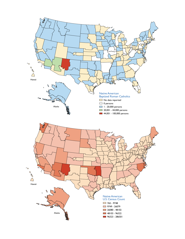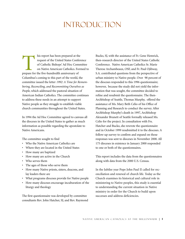# **INTRODUCTION**

his report has been prepared at the<br>
request of the United States Confer<br>
of Catholic Bishops' Ad Hoc Comr<br>
on Native American Catholics. For<br>
prepare for the five-hundredth anniversary of request of the United States Conference of Catholic Bishops' Ad Hoc Committee on Native American Catholics. Formed to Columbus's coming to this part of the world, the committee issued the letter *1992: A Time for Remembering, Reconciling, and Recommitting Ourselves as People*, which addressed the pastoral situation of American Indian Catholics. The committee continues to address these needs in an attempt to support Native people as they struggle to establish viable church communities throughout the United States.

In 1994 the Ad Hoc Committee agreed to canvass all the dioceses in the United States to gather as much information as possible regarding the apostolate to Native Americans.

The committee sought to find

- Who the Native American Catholics are
- Where they are located in the United States
- How many are baptized
- How many are active in the Church
- Who serves them
- The ages of those who serve them
- How many Native priests, sisters, deacons, and lay leaders there are
- What programs dioceses provide for Native people
- How many dioceses encourage inculturation of the liturgy and theology

The first questionnaire was developed by committee consultants Rev. John Hatcher, SJ, and Rev. Raymond Bucko, SJ, with the assistance of Fr. Gene Hemrick, then-research director of the United States Catholic Conference. Native American Catholics Sr. Marie Therese Archambeaux, OSF, and Fr. Paul Ojibway, S.A. contributed questions from the perspective of urban ministry to Native people. Over 98 percent of the dioceses responded to this 1996 questionnaire; however, because the study did not yield the information that was sought, the committee decided to refine and resubmit the questionnaire. The then-Archbishop of Seattle, Thomas Murphy, offered the assistance of Ms. Mary Beth Celio of his Office of Planning and Research to conduct the survey. After Archbishop Murphy's death in 1997, Archbishop Alexander Brunett of Seattle formally released Ms. Celio for the project. In consultation with Frs. Hatcher and Bucko, she rewrote the questionnaire and in October 1999 resubmitted it to the dioceses. A follow-up survey to confirm and expand on those responses was sent to dioceses in November 2000. All 175 dioceses in existence in January 2000 responded to one or both of the questionnaires.

This report includes the data from the questionnaires along with data from the 2000 U.S. Census.

In the Jubilee year Pope John Paul II called for reconciliation and renewal of church life. Today as the Church examines its historical and cultural role in ministering to Native peoples, this study is essential to understanding the current situation in Native ministry in order for the Church to build upon successes and address deficiencies.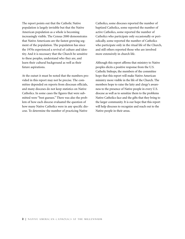The report points out that the Catholic Native population is largely invisible but that the Native American population as a whole is becoming increasingly visible. The Census 2000 demonstrates that Native Americans are the fastest growing segment of the population. The population has since the 1970s experienced a revival of culture and identity. And it is necessary that the Church be sensitive to these peoples, understand who they are, and learn their cultural background as well as their future aspirations.

At the outset it must be noted that the numbers provided in this report may not be precise. The committee depended on reports from diocesan officials, and many dioceses do not keep statistics on Native Catholics. In some cases the figures that were submitted were "best guesses." There was also the problem of how each diocese evaluated the question of how many Native Catholics were in any specific diocese. To determine the number of practicing Native

Catholics, some dioceses reported the number of baptized Catholics, some reported the number of active Catholics, some reported the number of Catholics who participate only occasionally or periodically, some reported the number of Catholics who participate only in the ritual life of the Church, and still others reported those who are involved more extensively in church life.

Although this report affirms that ministry to Native peoples elicits a positive response from the U.S. Catholic bishops, the members of the committee hope that this report will make Native American ministry more visible in the life of the Church. The members hope to raise the laity and clergy's awareness to the presence of Native people in every U.S. diocese as well as to sensitize them to the problems Native Catholics face and the gifts that they bring to the larger community. It is our hope that this report will help dioceses to recognize and reach out to the Native people in their areas.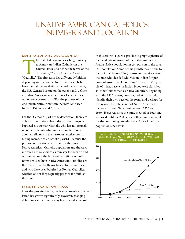# I. native American Catholics: Numbers and Location

#### DEFINITIONS AND HISTORICAL CONTEXT

The first challenge in describing ministry<br>to American Indian Catholics in the<br>United States is to define the terms of the<br>discussion, "Native American" and<br>"Catholic." The first term has different definitions to American Indian Catholics in the United States is to define the terms of the discussion, "Native American" and depending on the source. Native American tribes have the right to set their own enrollment criteria; the U.S. Census Bureau, on the other hand, defines as Native American anyone who selects that race option on a census form.2 For the purpose of this document, Native American includes American Indians, Eskimos, and Aleuts.

For the "Catholic" part of the description, there are at least three options, from the broadest (anyone baptized as a Roman Catholic who has not formally renounced membership in the Church or joined another religion) to the narrowest (active, contributing member of a Catholic parish).<sup>3</sup> Because the purpose of this study is to describe the current Native American Catholic population and the ways in which Catholic dioceses minister to them on and off reservations, the broadest definitions of both terms are used here: Native American Catholics are those who describe themselves as Native American and who have been baptized as Roman Catholics, whether or not they regularly practice the faith at this time.

### COUNTING NATIVE AMERICANS

Over the past sixty years, the Native American population has grown significantly. However, changing definitions and attitudes may have played some role

in this growth. Figure 1 provides a graphic picture of the rapid rate of growth of the Native American/ Alaska Native population in comparison to the total U.S. population. Some of this growth may be due to the fact that, before 1960, census enumerators were the ones who decided who was an Indian for purposes of government "counting." Thus, in 1950 people of mixed race with Indian blood were classified as "other" rather than as Native American. Beginning with the 1960 census, however, individuals could identify their own race on the form; and perhaps for this reason, the total count of Native Americans increased almost 50 percent between 1950 and 1960.4 However, since the same method of counting was used until the 2000 census, this cannot account for the continuing growth in the Native American population since 1970.



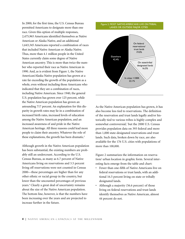In 2000, for the first time, the U.S. Census Bureau permitted Americans to designate more than one race. Given this option of multiple responses, 2,475,965 Americans identified themselves as Native American or Alaska Native, and an additional 1,643,345 Americans reported a combination of races that included Native American or Alaska Native. Thus, more than 4.1 million people in the United States currently claim some degree of Native American ancestry. This is more than twice the number who reported their race as Native American in 1990. And, as is evident from Figure 1, the Native American/Alaska Native population has grown at a rate far exceeding the growth of the population as a whole, even without including those Americans who indicated that they are a combination of races, including Native American. Since 1940, the general U.S. population has grown over 125 percent, while the Native American population has grown an astounding 717 percent. An explanation for this disparity in growth rates may lie in a combination of increased birth rates, increased levels of education among the Native American population, and an increased awareness of and pride in the Native American heritage. All three reasons could lead more people to claim their ancestry. Whatever the role of these explanations, the growth has been dramatic.<sup>5</sup>

Although growth in the Native American population has been substantial, the existing numbers are probably still an undercount. According to the U.S. Census Bureau, as many as 6.7 percent of Native Americans living on reservations and 3.5 percent living off reservations were not counted in Census 2000—these percentages are higher than for any other ethnic or racial group in the country, but lower than the uncounted percentages of previous years.<sup>6</sup> Clearly a great deal of uncertainty remains about the size of the Native American population. The bottom line, however, is that the numbers have been increasing over the years and are projected to increase further in the future.

#### Figure 2. MOST NATIVE AMERICANS LIVE ON TRIBAL LANDS OR OUTSIDE MAJOR CITIES



As the Native American population has grown, it has also become less tied to reservations. The definition of the reservation and trust lands legally and/or historically tied to various tribes is highly complex and somewhat controversial,7 but the 2000 U.S. Census provides population data on 393 federal and more than 1,000 state-designated reservations and trust lands. Such data, broken down by race, are also available for the 176 U.S. cities with populations of more than 100,000.

Figure 2 summarizes the information on reservation/ urban location in graphic form. Several interesting facts emerge from the table and chart:

- Fewer than one-fifth of Native Americans live on federal reservations or trust lands, with an additional 16.5 percent living on state or tribally designated lands.
- Although a majority (56.6 percent) of those living on federal reservations and trust lands identify themselves as Native American, almost 44 percent do not.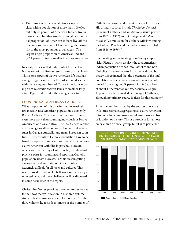• Twenty-seven percent of all Americans live in cities with a population of more than 100,000, but only 22 percent of American Indians live in those cities. In other words, although a substantial proportion of American Indians live off the reservations, they do not tend to migrate primarily to the most populous urban areas. The largest single proportion of American Indians (42.4 percent) live in smaller towns or rural areas.

In short, it is clear that today only 40 percent of Native Americans live on reservations or trust lands. This is one aspect of Native American life that has changed significantly over the last several decades, with increasing numbers of Native Americans moving from reservations/trust lands to small or large cities. Figure 3 illustrates the changes over time.<sup>8</sup>

### COUNTING NATIVE AMERICAN CATHOLICS

What proportion of this growing and increasingly urbanized Native American population is currently Roman Catholic? To answer this question requires even more work than counting individuals as Native Americans or Alaska Natives. The U.S. Census cannot ask for religious affiliation or preference (unlike censuses in Canada, Australia, and many European countries). Thus, counts of Catholic population have to be based on reports from priests or other staff who serve Native American Catholics in parishes, diocesan offices, or other settings. Unfortunately, no standard practice exists for counting and reporting Catholic population across dioceses. For this reason, getting a consistent and accurate count of Catholics is extremely difficult for all races and cultures. This reality posed considerable challenges for the surveys reported here, and these challenges will be discussed in some detail later in the report.

Christopher Vecsey provides a context for responses to the "how many?" question in his three-volume study of Native Americans and Catholicism.<sup>9</sup> In the third volume, he records estimates of the number of Catholics reported at different times in U.S. history. His primary sources include *The Indian Sentinel* (Bureau of Catholic Indian Missions, issues printed from 1902 to 1962) and *Our Negro and Indian Missions* (Commission for Catholic Missions among the Colored People and the Indians, issues printed from 1926 to 1976).<sup>10</sup>

Interpolating and estimating from Vecsey's reports yields Figure 4, which displays the total American Indian population divided into Catholics and non-Catholics. Based on reports from the field cited by Vecsey, it is estimated that the percentage of the total population of Native Americans who were Catholic ranged from a high of 29 percent in 1940 to a low of about 17 percent today. Other sources also give 17 percent as the estimated percentage of Catholics, although no primary source is given for this estimate.<sup>11</sup>

All of the numbers cited by the sources above are wide-area estimates, aggregating all Native Americans into one all-encompassing racial group irrespective of location or history. This is a problem for almost every ethnic or racial group, but it is of particular

Figure 3.THE PORTION OF NATIVE AMERICANS LIVING

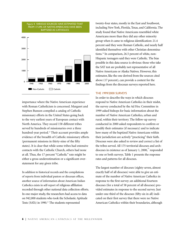

Figure 4. VARIOUS SOURCES HAVE ESTIMATED THAT

importance where the Native American experience with Roman Catholicism is concerned. Margaret and Stephen Bunson compiled a catalog of Catholic missionary efforts in the United States going back to the very earliest years of European contact with North America. They record 158 different tribes served by hundreds of missionaries over a three hundred-year period.<sup>12</sup> Their account provides ample evidence of the breadth of Catholic missionary efforts (permanent missions in thirty-nine of the fifty states). It is clear that while some tribes had extensive contacts with the Catholic Church, others had none at all. Thus, the 17 percent "Catholic" rate might be either a gross underestimation or a significant overstatement for any given tribe.

In addition to historical records and the compilations of reports from individual pastors or diocesan offices, another source of information about American Indian Catholics exists in self-report of religious affiliation recorded through other national data collection efforts. In one major study, the researchers had access to data on 942,000 students who took the Scholastic Aptitude Tests (SATs) in 1990.<sup>13</sup> The students represented

twenty-four states, mostly in the East and Southwest, including New York, Florida, Texas, and California. The study found that Native Americans resembled white Americans more than they did any other minority group when it came to religious identification: 21.4 percent said they were Roman Catholic, and nearly half identified themselves with other Christian denominations.14 In comparison, 26.5 percent of white, non-Hispanic teenagers said they were Catholic. The bias possible in this data source is obvious: those who take the SAT test are probably not representative of all Native Americans or Alaska Natives. However, this estimator, like the one derived from the sources cited above (17 percent), can provide a context for the findings from the diocesan surveys reported here.

#### THE 1999/2000 SURVEYS

In order to describe the ways in which dioceses respond to Native American Catholics in their midst, the survey conducted by the Ad Hoc Committee in 1999 asked bishops for basic information about the number of Native American Catholics, urban and rural, within their territory. The follow-up survey conducted in 2000 asked respondents to confirm or modify their estimates (if necessary) and to indicate how many of the baptized Native Americans within their jurisdiction are actively "practicing" their faith. Dioceses were also asked to review and correct a list of the tribes served. All 175 territorial dioceses and archdioceses in existence as of January 1, 2000, $\overline{5}$  responded to one or both surveys. Table 1 presents the response rates and patterns for all dioceses.

The largest number of dioceses (eighty-seven, almost exactly half of all dioceses) were able to give an estimate of the number of Native American Catholics in response to the first survey; an additional fourteen dioceses (for a total of 58 percent of all dioceses) provided estimates in response to the second survey. Just under one-third of the dioceses (fifty-six in all) indicated on their first survey that there were no Native American Catholics within their boundaries, although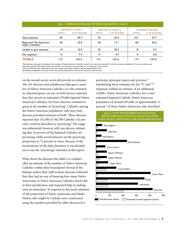|                                            | Table 1. RESPONSE RATES AND PATTERNS FOR SURVEYS 1 AND 2 |                                              |               |                                              |                 |                                           |
|--------------------------------------------|----------------------------------------------------------|----------------------------------------------|---------------|----------------------------------------------|-----------------|-------------------------------------------|
|                                            | <b>TOTALS</b>                                            | <b>RESPONSE TO SURVEY I</b><br>% OF DIOCESES | <b>TOTALS</b> | <b>RESPONSE TO SURVEY 2</b><br>% OF DIOCESES | <b>TOTALS</b>   | <b>COMBINED RESPONSE</b><br>% OF DIOCESES |
| Gave estimate                              | 87                                                       | 49.7                                         | 75            | 42.9                                         | 101'            | 57.7                                      |
| Reported "No American<br>Indian Catholics" | 56                                                       | 32.0                                         | 30            | 17. I                                        | 66 <sup>2</sup> | 36.6                                      |
| Unable to give estimate                    | 19                                                       | 10.9                                         | 53            | 30.3                                         | 8 <sup>3</sup>  | 5.7                                       |
| No response                                | 13                                                       | 7.4                                          | 17            | 9.7                                          | 0 <sup>4</sup>  | 0.0                                       |
| <b>TOTALS</b>                              | 175                                                      | 100.0                                        | 175           | 100.0                                        | 175             | 100.0                                     |

1 Total dioceses that gave an estimate of the number of Native American Catholics on the first or second surveys (87 on the first survey; an additional 14 on the second survey) 2 Total that reported "No Native American Catholics" on the first survey and either "0" or unknown on the second <sup>3</sup>Of all the dioceses who responded to the two surveys, only 8 were unable to give an estimate either time

4 All dioceses established at the time of the two surveys responded to the first, the second, or both surveys

on the second survey seven did provide an estimate. The 101 dioceses and archdioceses that gave a number of Native American Catholics (or who ventured an educated guess) on one or both surveys reported that they served an estimated 479,000 baptized Native American Catholics. Far fewer dioceses ventured to guess at the number of "practicing" Catholics among the Native American population: only sixty-four dioceses provided estimates of both. These dioceses reported that 145,300 of 346,700 Catholics (42 percent) could be described as "practicing." The range was substantial, however, with one diocese estimating that 16 percent of the baptized Catholics are practicing, while several dioceses set the practicing proportion at 75 percent or more. Because of the inconsistency of the data, therefore, it was decided not to use the "practicing" estimates in this report.

What about the dioceses that didn't, or couldn't, offer an estimate of the number of Native American Catholics within their boundaries? Several of the bishops and/or their staff in those dioceses indicated that they had no way of knowing how many Native Americans, or Native American Catholics, lived within their jurisdictions and requested help in making such an estimation. To respond to this need, estimates of the proportion of Native Americans and Alaska Natives who might be Catholic were constructed using the numbers provided by other dioceses in a

particular episcopal region and province.<sup>16</sup> Substituting these estimates for the "0" and "?" responses yielded an estimate of an additional 14,000+ Native American Catholics, for a total estimated baptized Catholic Native American population of around 493,600, or approximately 21 percent<sup>17</sup> of those Native Americans who described

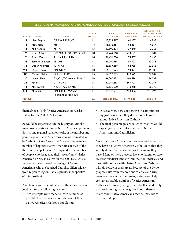| Table 2. TOTAL NATIVE AMERICAN AND NATIVE AMERICAN CATHOLIC POPULATION BY EPISCOPAL REGION |
|--------------------------------------------------------------------------------------------|
|--------------------------------------------------------------------------------------------|

|               |                       |                             | NO. OF          | <b>TOTAL</b>      | <b>TOTAL NATIVE</b> | <b>ESTIMATED NO. OF</b><br><b>NATIVE AMERCANS</b> |
|---------------|-----------------------|-----------------------------|-----------------|-------------------|---------------------|---------------------------------------------------|
| <b>REGION</b> | <b>NAME</b>           | <b>STATES</b>               | <b>DIOCESES</b> | <b>POPULATION</b> | <b>AMERICANS</b>    | <b>BAPTIZED CATHOLIC</b>                          |
|               | New England           | CT, MA, ME, RI, VT          | П               | 13,922,517        | 42,257              | 6,839                                             |
| $\mathbf{H}$  | New York              | NY                          | 8               | 18,976,457        | 82,461              | 4,367                                             |
| Ш             | Mid-Atlantic          | NJ, PA                      | 13              | 20,695,404        | 37,840              | 2,263                                             |
| IV            | South Atlantic        | DC, MD, FL, GA, NC, SC, VA  | 18              | 51,769,160        | 233,192             | 3,182                                             |
| V             | South Central         | AL, KY, LA, MS, TN          | 18              | 21,491,786        | 73,897              | 3,636                                             |
| VI            | Eastern Midwest       | MI, OH                      | 13              | 21,291,584        | 83,327              | 13,215                                            |
| VII           | <b>Upper Midwest</b>  | IL, IN, WI                  | 16              | 23,857,258        | 82,965              | 22,368                                            |
| VIII          | <b>Upper Plains</b>   | MN, ND, SD                  | $\overline{0}$  | 6,316,523         | 94,027              | 15,305                                            |
| IX            | <b>Central Plains</b> | IA, MO, NE, KS              | 15              | 12,920,683        | 148,579             | 37,009                                            |
| $\times$      | Lower Plains          | AR, OK, TX (except El Paso) | 16              | 26,240,275        | 403,516             | 116,095                                           |
| XI            | Pacific               | CA, HI, NV                  | 15              | 37,081,295        | 363,301             | 77,769                                            |
| XII           | Northwest             | AK, OP, WA, ID, MT,         | $\mathbf{H}$    | 12,138,600        | 310,268             | 88,370                                            |
| XIII          | Mountain              | NM, CO, UT, WY, AZ          | П               | 14,546,534        | 420,406             | 203,196                                           |
|               |                       | (including El Paso, TX)     |                 |                   |                     |                                                   |
| <b>TOTALS</b> |                       |                             | 176             | 281,248,076       | 2,376,036           | 493,614                                           |

themselves as "only" Native American or Alaska Native for the 2000 U.S. Census.

As would be expected given the history of Catholic missionary efforts within the Native American population, strong regional variations exist in the number and percentage of Native Americans who are estimated to be Catholic. Figure 5 (see page 7) shows the estimated number of baptized Native Americans in each of the thirteen episcopal regions<sup>18</sup> compared to the number of people who designated their race as "only" Native American or Alaska Native for the 2000 U.S. Census. In general, the estimated percentage of Native Americans who are baptized Catholics differs widely from region to region. Table 2 provides the specifics of this distribution.

A certain degree of confidence in these estimates is justified for the following reasons.

• Two attempts were made to learn as much as possible from dioceses about the size of their Native American Catholic population.

- Dioceses were very cooperative in communicating just how much they do, or do not, know about Native American Catholics.
- The final percentages are roughly what we would expect given other information on Native Americans and Catholicism.

Note that over 40 percent of dioceses said either that they have no Native American Catholics or that they simply do not know whether or how many they have. Many of these dioceses have no federal or state reservations/trust lands within their boundaries, and have little contact with Native American Catholics who do reside in their areas. Because of the demographic shift from reservations to cities and rural areas over recent decades, many cities now likely contain a sizeable number of Native American Catholics. However, being urban dwellers and likely scattered among many neighborhoods, these and many other Native Americans may be invisible to the pastoral eye.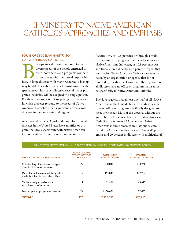# II. ministry to Native American catholics: approaches and emphasis

### FORMS OF DIOCESAN MINISTRY TO NATIVE AMERICAN CATHOLICS

ishops are called on to respond to the<br>diverse needs of the people entrusted to<br>them. New needs and programs compete<br>for resources with traditional responsibil-<br>ities. In large dioceses with many resources, a bishop diverse needs of the people entrusted to them. New needs and programs compete for resources with traditional responsibilmay be able to establish offices to assist groups with special needs; in smaller dioceses, several major programs inevitably will be assigned to a single person. For these reasons, it is not surprising that the ways in which dioceses respond to the needs of Native American Catholics differ significantly even across dioceses in the same state and region.

As indicated in Table 3, just under one-fourth of all dioceses in the United States have an office or program that deals specifically with Native American Catholics either through a self-standing office

(twenty-two, or 12.5 percent) or through a multicultural ministry program that includes services to Native Americans (nineteen, or 10.8 percent). An additional eleven dioceses (6.3 percent) report that services for Native American Catholics are coordinated by an organization or agency that is not directed by the diocese. However, fully 70 percent of all dioceses have no office or program that is targeted specifically to Native American Catholics.

The data suggests that almost one-half of all Native Americans in the United States live in dioceses that have no office or program specifically designed to meet their needs. Most of the dioceses without programs have a low concentration of Native American Catholics: an estimated 15 percent of Native Americans in these dioceses are Catholic as compared to 43 percent in dioceses with "named" programs and 29 percent in dioceses with multicultural

| <b>DESCRIPTION OF DIOCESAN PROGRAM</b>                                          | NO. OF DIOCESES<br><b>WITH THIS TYPE OF</b><br><b>PROGRAM</b> | <b>TOTAL NATIVE</b><br><b>AMERICAN IN AREA</b> | <b>REPORTED +</b><br><b>ESTIMATED CATHOLICS</b> |
|---------------------------------------------------------------------------------|---------------------------------------------------------------|------------------------------------------------|-------------------------------------------------|
| Self-standing office and/or designated<br>vicar for Native Americans            | 22                                                            | 630.841                                        | 213,260                                         |
| Part of a multicultural ministry office,<br>Catholic Charities, or other office | 19                                                            | 463,048                                        | 142.287                                         |
| Varies; usually non-diocesan<br>coordination of services                        | П                                                             | 181,461                                        | 65,615                                          |
| No designated program or services                                               | 124                                                           | 1,100,686                                      | 72.453                                          |
| <b>TOTALS</b>                                                                   | 176                                                           | 2,376,036                                      | 493,615                                         |

#### Table 3. TOTAL NATIVE AMERICAN AND NATIVE AMERICAN CATHOLIC POPULATION BY EPISCOPAL REGION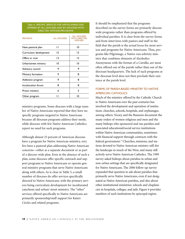Table 4: SPECIFIC SERVICES FOR NATIVE AMERICANS OFFERED BY ALL DIOCESES AND BY DIOCESES WITH DIRECTED OFFICERS/PROGRAMS

| <b>PROGRAM</b>         | <b>ALL DIOCESES</b> | <b>ALL DIOCESES</b><br><b>WITH DIRECTED</b><br><b>OFFICERS</b> |  |
|------------------------|---------------------|----------------------------------------------------------------|--|
| Have pastoral plan     | П                   | 10                                                             |  |
| Curriculum development | 15                  | 13                                                             |  |
| Office or vicar        | $\overline{13}$     | 13                                                             |  |
| Urban/street ministry  | 10                  | 10                                                             |  |
| Advisory council       | 9                   | 9                                                              |  |
| Ministry formation     | 9                   | 8                                                              |  |
| Addiction program      | 9                   | 8                                                              |  |
| Inculturation forum    | 8                   | 8                                                              |  |
| Prison ministry        | 6                   | 5                                                              |  |
| Other program          | Ħ                   | 10                                                             |  |

ministry programs. Some dioceses with a large number of Native Americans reported that they have no specific programs targeted to Native Americans because all diocesan programs address their needs, while dioceses with few Native American Catholics report no need for such programs.

Although almost 25 percent of American dioceses have a program for Native American ministry, very few have a pastoral plan addressing Native American concerns—either as a separate document or as part of a diocese-wide plan. Even in the absence of such a plan, some dioceses offer specific outreach and support programs to Native Americans or operate general ministry programs that serve Native Americans along with others. As is clear in Table 5, a small number of dioceses do offer services specifically directed to Native Americans, with the primary services being curriculum development for inculturated catechesis and urban/ street ministry. The "other" services offered specifically to Native Americans are primarily sponsorship/staff support for Kateri Circles and related programs.

It should be emphasized that the programs described on the survey forms are primarily diocesewide programs rather than programs offered by individual parishes. It is clear from the survey forms and from interviews with pastors and staff in the field that the parish is the actual locus for most services and programs for Native Americans. Thus, programs like Pilgrimage, a Native-run sobriety ministry that combines elements of Alcoholics Anonymous with the format of a Cursillo, are most often offered out of the parish rather than out of the diocesan headquarters. The lack of such programs at the diocesan level does not then preclude their existence at the parish level.

### FORMS OF PARISH-BASED MINISTRY TO NATIVE AMERICAN CATHOLICS

Much of the ministry offered by the Catholic Church to Native Americans over the past centuries has involved the development and operation of institutions: churches, schools, hospitals, and orphanages, among others. Vecsey and the Bunsons document the many orders of women religious and men and the many bishops who sponsored and ran parishes and associated educational/social service institutions within Native American communities, sometimes with financial support through contracts with the federal government.<sup>19</sup> Churches, missions, and stations devoted to Native American ministry still dot the landscape in much of the West, and many still actively serve Native American Catholics. The 1999 survey asked bishops about parishes in urban and non-urban settings that are specifically designated for Native Americans. The 2000 follow-up survey expanded that question to ask about parishes that primarily serve Native Americans, even if not designated as Native American parishes, and also about other institutional ministries: schools and chaplaincies in hospitals, colleges, and jails. Figure 6 provides numbers of such institutions by episcopal region.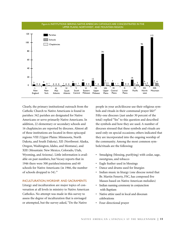

Clearly, the primary institutional outreach from the Catholic Church to Native Americans is found in parishes: 342 parishes are designated for Native Americans or serve primarily Native Americans. In addition, 22 elementary or secondary schools and 16 chaplaincies are reported by dioceses. Almost all of these institutions are located in three episcopal regions: VIII (Upper Plains: Minnesota, North Dakota, and South Dakota), XII (Northwest: Alaska, Oregon, Washington, Idaho, and Montana), and XIII (Mountain: New Mexico, Colorado, Utah, Wyoming, and Arizona). Little information is available on past numbers, but Vecsey reports that in 1946 there were 500 parishes/missions and 60 schools for Native Americans (in 1966, the number of schools dropped to 54).<sup>20</sup>

### INCULTURATION,WORSHIP, AND SACRAMENTS

Liturgy and inculturation are major topics of conversation at all levels in ministry to Native American Catholics. No attempt was made in this survey to assess the degree of inculturation that is envisaged or attempted, but the survey asked, "Do the Native

people in your arch/diocese use their religious symbols and rituals in their communal prayer life?" Fifty-one dioceses (just under 30 percent of the total) replied "Yes" to this question and described the symbols and how they are used. A number of dioceses stressed that these symbols and rituals are used only on special occasions; others indicated that they are incorporated into the ongoing worship of the community. Among the most common symbols/rituals are the following:

- Smudging (blessing, purifying) with cedar, sage, sweetgrass, and tobacco
- Eagle feather used in blessings
- Dance and drums used for liturgies
- Indian music in liturgy (one diocese noted that Br. Martin Fenerty, FSC, has composed five Masses based on Native American melodies)
- Indian naming ceremony in conjunction with Baptism
- Native attire used in local and diocesan celebrations
- Four-directional prayer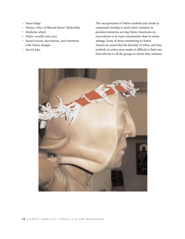- Sweat lodge
- Statues, relics of Blessed Kateri Tekakwitha
- Medicine wheel
- Native crucifix and cross
- Sacred vessels, decorations, and vestments with Native designs
- Sacred pipe

The incorporation of Native symbols and rituals in communal worship is much more common in parishes/ministries serving Native Americans on reservations or in rural communities than in urban settings. Some of those ministering to Native Americans noted that the diversity of tribes, and thus symbols, in urban areas makes it difficult to find symbols relevant to all the groups to whom they minister.

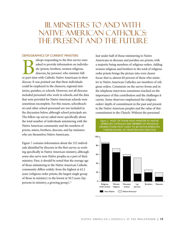# III. ministers to and with Native American catholics: the present and the future

### DEMOGRAPHICS OF CURRENT MINISTERS

shops responding to the first survey were<br>asked to provide information on individu<br>als (priests, brothers, women religious,<br>deacons, lay persons) who minister full-<br>or part-time with Catholic Native Americans in their asked to provide information on individuals (priests, brothers, women religious, deacons, lay persons) who minister fulldiocese. It was pointed out that these individuals could be employed in the chancery, regional ministries, parishes, or schools. However, not all dioceses included personnel who work in schools, and the data that were provided for Native American schools were sometimes incomplete. For this reason, schoolteachers and other school personnel are not included in the discussion below, although school principals are. The follow-up survey asked more specifically about the total number of individuals ministering with the Native American community and the numbers of priests, sisters, brothers, deacons, and lay ministers who are themselves Native Americans.

Figure 7 contains information about the 322 individuals identified by dioceses in the first survey as working specifically in Native American ministry, although some also serve non-Native peoples as a part of their ministry. First, it should be noted that the average age of those ministering to the Native American Catholic community differs widely: from the highest at 62.2 years (religious order priests, the largest single group of those in ministry) to the lowest at 50.5 years (lay persons in ministry, a growing group).<sup>21</sup>

Just under half of those ministering to Native Americans in dioceses and parishes are priests, with a majority being members of religious orders. Adding women religious and brothers to the total of religious order priests brings the picture into even clearer focus: that is, almost 60 percent of those who minister to Native American Catholics are members of religious orders. Comments on the survey forms and in the telephone interviews sometimes touched on the importance of this contribution and the challenges it carries. Some observers emphasized the religious orders' depth of commitment in the past and present to the Native American peoples and the value of this commitment to the Church. Without the personnel

Figure 7. MOST OF THOSE WHO MINISTER TO NATIVE AMERICAN CATHOLICS ARE MEMBERS OF RELIGIOUS ORDERS;THOSE MOST LIKELY TO BE NATIVE AMERICAN THEMSELVES ARE LAY MINISTERS AND DEACONS

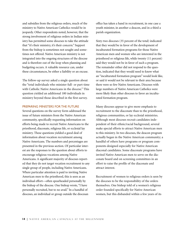and subsidies from the religious orders, much of the ministry to Native American Catholics would be in jeopardy. Other respondents noted, however, that the strong involvement of religious orders in Indian ministry has permitted some dioceses to take the attitude that "it's their ministry, it's their concern." Support from the bishop is sometimes not sought and sometimes not offered. Native American ministry is not integrated into the ongoing structures of the diocese and is therefore out of the loop when planning and budgeting occurs. A valuable resource can, under these circumstances, be either a liability or an excuse.

The follow-up survey asked a single question about the "total individuals who minister full- or part-time with Catholic Native Americans in the diocese." This question yielded an additional 180 individuals in ministry beyond those described in the first survey.

### PREPARING MINISTERS FOR THE FUTURE

Several questions on the survey form addressed the issue of future ministers from the Native American community, specifically requesting information on efforts being made to recruit Native Americans to the priesthood, diaconate, religious life, or ecclesial lay ministry. These questions yielded a good deal of information about vocation recruitment among Native Americans. The numbers and percentages are presented in the previous section. Of particular interest are the responses to the question about efforts to encourage religious vocations among Native Americans. A significant majority of dioceses reported that they do not target vocation recruitment to any single group of people, including Native Americans. Where particular attention is paid to inviting Native American men to the priesthood, this is seen as an individual effort—often spearheaded personally by the bishop of the diocese. One bishop wrote, "I have personally recruited, but to no avail." In a handful of dioceses, an individual or group outside the diocesan

office has taken a hand in recruitment, in one case a youth minister, in another a deacon, and in a third a parish organization.

Sixty-two dioceses (35 percent of the total) indicated that they would be in favor of the development of inculturated formation programs for those Native American men and women who are interested in the priesthood or religious life, while twenty (11 percent) said they would not be in favor of such a program. The remainder either did not respond to the question, indicated that they would need to know what an "inculturated formation program" would look like, or said it would not be relevant to their area because there were so few Native Americans. Dioceses with large numbers of Native American Catholics were more likely than other dioceses to favor an inculturated formation program.

Many dioceses appear to give more emphasis to recruitment to the diaconate than to the priesthood, religious communities, or lay ecclesial ministries. Although most dioceses recruit candidates independent of their ethnic/racial background, several make special efforts to attract Native American men to this ministry. In two dioceses, the deacon program actually began in the Native American community; a handful of others have programs or program components designed especially for Native American diaconal candidates. Some diaconate programs have invited Native American men to serve on the diaconate board and on screening committees in an effort to raise the profile of the diaconate and attract interest.

Recruitment of women to religious orders is seen by the dioceses to be the responsibility of the orders themselves. One bishop told of a women's religious order founded specifically for Native American women, but this disbanded within a few years of its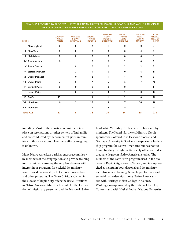### Table 5.AS REPORTED BY DIOCESES, NATIVE AMERICAN PRIESTS, SEMINARIANS, DEACONS,AND WOMEN RELIGIOUS ARE CONCENTRATED IN THE UPPER PLAINS, NORTHWEST, AND MOUNTAIN REGIONS

| <b>REGION</b> |                          | <b>AMERICAN</b><br><b>INDIAN</b><br><b>PRIESTS</b> | <b>AMERICAN</b><br><b>INDIAN</b><br><b>SEMINARIANS</b> | <b>AMERICAN</b><br><b>INDIAN</b><br><b>DEACONS</b> | <b>AMERICAN</b><br><b>INDIAN</b><br><b>DEACON</b><br><b>CANDIDATES</b> | <b>AMERICAN</b><br><b>INDIAN</b><br><b>WOMEN</b><br><b>RELIGIOUS</b> | <b>AMERICAN</b><br><b>INDIAN</b><br><b>LAITY IN</b><br><b>MINISTRY</b> | <b>TOTAL</b><br><b>AMERICAN</b><br><b>INDIANS IN</b><br><b>MINISTRY</b> |
|---------------|--------------------------|----------------------------------------------------|--------------------------------------------------------|----------------------------------------------------|------------------------------------------------------------------------|----------------------------------------------------------------------|------------------------------------------------------------------------|-------------------------------------------------------------------------|
|               | 1 New England            | 0                                                  | $\mathbf 0$                                            | $\overline{2}$                                     |                                                                        | $\mathbf 0$                                                          | $\mathbf 0$                                                            | 3                                                                       |
|               | II New York              | $\mathbf 0$                                        | $\mathbf 0$                                            | 0                                                  | 0                                                                      | 0                                                                    | 4                                                                      | 4                                                                       |
|               | III Mid-Atlantic         | 0                                                  | $\mathbf 0$                                            | 0                                                  | 0                                                                      | 0                                                                    | $\mathbf 0$                                                            | $\mathbf 0$                                                             |
|               | <b>IV</b> South Atlantic | 0                                                  |                                                        | 0                                                  | $\mathbf 0$                                                            | $\overline{2}$                                                       | $\mathbf 0$                                                            | 3                                                                       |
|               | V South Central          |                                                    | $\Omega$                                               | 0                                                  | 0                                                                      | $\overline{2}$                                                       | $\overline{2}$                                                         | 5                                                                       |
|               | VI Eastern Midwest       |                                                    | 3                                                      |                                                    | $\mathbf 0$                                                            | $\mathbf 0$                                                          | 6                                                                      | П                                                                       |
|               | VII Upper Midwest        |                                                    | $\mathbf 0$                                            | $\overline{2}$                                     |                                                                        | 4                                                                    | $\mathbf 0$                                                            | 8                                                                       |
|               | VIII Upper Plains        | 3                                                  | $\mathbf 0$                                            | 17                                                 | 5                                                                      | 6                                                                    | 17                                                                     | 48                                                                      |
|               | IX Central Plains        | 0                                                  | $\mathbf 0$                                            | 0                                                  | 0                                                                      | $\Omega$                                                             |                                                                        |                                                                         |
|               | X Lower Plains           |                                                    | $\mathbf 0$                                            | 5                                                  | 4                                                                      | $\overline{2}$                                                       | $\mathbf 0$                                                            | 12                                                                      |
|               | XI Pacific               | 13                                                 |                                                        | 3                                                  |                                                                        | $\overline{2}$                                                       | $\mathbf 0$                                                            | 20                                                                      |
|               | <b>XII Northwest</b>     | $\mathbf 0$                                        | $\mathbf{2}$                                           | 37                                                 | 8                                                                      | $\overline{7}$                                                       | 24                                                                     | 78                                                                      |
|               | XIII Mountain            | $\overline{7}$                                     |                                                        | $\overline{7}$                                     | 6                                                                      | 9                                                                    | $\mathbf{H}$                                                           | 41                                                                      |
|               | <b>Total U.S.</b>        | 27                                                 | 8                                                      | 74                                                 | 26                                                                     | 34                                                                   | 65                                                                     | 234                                                                     |

founding. Most of the efforts at recruitment take place on reservations or other centers of Indian life and are conducted by the women religious in ministry in those locations. How these efforts are going is unknown.

Many Native American parishes encourage ministry by members of the congregation and provide training for that ministry. Among the very few dioceses with interest in or programs for ecclesial lay ministry, some provide scholarships to Catholic universities and other programs. The Sioux Spiritual Center, in the diocese of Rapid City, offers the Basic Directions in Native American Ministry Institute for the formation of missionary personnel and the National Native

Leadership Workshop for Native catechists and lay ministers. The Kateri Northwest Ministry (Jesuitsponsored) is offered in at least one diocese, and Gonzaga University in Spokane is exploring a leadership program for Native Americans but has not yet found funding. Creighton University offers an undergraduate degree in Native American studies. The Builders of the New Earth program, used in the dioceses of Rapid City, Phoenix, Tucson, and Gallup, was cited as helpful in both diaconal and lay ministry recruitment and training. Some hopes for increased ecclesial lay leadership among Native Americans rest with Heritage Indian College in Yakima, Washington—sponsored by the Sisters of the Holy Names—and with Haskell Indian Nations University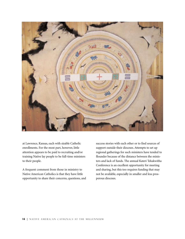

at Lawrence, Kansas, each with sizable Catholic enrollments. For the most part, however, little attention appears to be paid to recruiting and/or training Native lay people to be full-time ministers to their people.

A frequent comment from those in ministry to Native American Catholics is that they have little opportunity to share their concerns, questions, and success stories with each other or to find sources of support outside their dioceses. Attempts to set up regional gatherings for such ministers have tended to flounder because of the distance between the ministers and lack of funds. The annual Kateri Tekakwitha Conference is an excellent opportunity for meeting and sharing, but this too requires funding that may not be available, especially in smaller and less prosperous dioceses.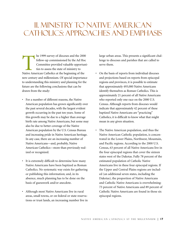# II. ministry to Native American catholics: approaches and emphasis

The 1999 survey of dioceses and the 2000<br>follow-up commissioned by the Ad Hoc<br>Committee provided valuable opportuni<br>ties to assess the state of ministry to<br>Native American Catholics at the beginning of the follow-up commissioned by the Ad Hoc Committee provided valuable opportunities to assess the state of ministry to Native American Catholics at the beginning of the new century and millennium. Of special importance to understanding this ministry and planning for the future are the following conclusions that can be drawn from the study:

- For a number of different reasons, the Native American population has grown significantly over the past several decades, with the largest evident growth occurring in the past ten years. Some of this growth may be due to a higher than average birth rate among Native Americans, but some may also be due to better coverage of the Native American population by the U.S. Census Bureau and increasing pride in Native American heritage. In any case, there are an increasing number of Native Americans—and, probably, Native American Catholics—more than previously realized or recognized.
- It is extremely difficult to determine how many Native Americans have been baptized as Roman Catholics. No systematic way exists for gathering or publishing this information; and, in its absence, much planning has to be done on the basis of guesswork and/or anecdote.
- Although most Native Americans live in rural areas, small towns, or on federal or state reservations or trust lands, an increasing number live in

large urban areas. This presents a significant challenge to dioceses and parishes that are called to serve them.

- On the basis of reports from individual dioceses and projections based on reports from episcopal regions and provinces, it is possible to estimate that approximately 493,000 Native Americans identify themselves as Roman Catholics. This is approximately 21 percent of all Native Americans who reported only one race on the 2000 U.S. Census. Although reports from dioceses would indicate that approximately 42 percent of these baptized Native Americans are "practicing" Catholics, it is difficult to know what that might mean in any given situation.
- The Native American population, and thus the Native American Catholic population, is concentrated in the Lower Plains, Northwest, Mountain, and Pacific regions. According to the 2000 U.S. Census, 63 percent of all Native Americans live in the four episcopal regions that cover the sixteen states west of the Dakotas. Fully 78 percent of the estimated population of Catholic Native Americans live in these four episcopal regions. If the Upper and Central Plains regions are included (an additional seven states, including the Dakotas), the proportion of Native Americans and Catholic Native Americans is overwhelming: 73 percent of Native Americans and 89 percent of Catholic Native Americans are found in those six episcopal regions.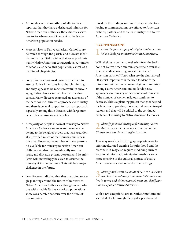- Although less than one-third of all dioceses reported that they have a designated ministry for Native American Catholics, these dioceses serve territories where over 85 percent of the Native American population resides.
- Most services to Native American Catholics are delivered through the parish, and dioceses identified more than 340 parishes that serve predominantly Native American congregations. A number of schools also serve this population, as well as a handful of chaplaincies.
- Some dioceses have made concerted efforts to attract Native Americans into church ministry, and they appear to be most successful in encouraging Native American men to enter the diaconate. Many dioceses expressed an awareness of the need for inculturated approaches to ministry, and there is general support for such an approach, especially among those dioceses with large numbers of Native American Catholics.
- A majority of people in formal ministry to Native American Catholics are men and women who belong to the religious orders that have traditionally provided much of the Church's ministry in this area. However, the number of these personnel available for ministry to Native American Catholics has dropped significantly over the years, and diocesan priests, deacons, and lay ministers will increasingly be asked to assume the ministry if it is to continue. This will be a major challenge in the future.
- Few dioceses indicated that they are doing strategic planning around the future of ministry to Native American Catholics, although most bishops with sizeable Native American populations show considerable concern over the future of this ministry.

Based on the findings summarized above, the following recommendations are offered to American bishops, pastors, and those in ministry with Native American Catholics:

### RECOMMENDATIONS

**1***Assess the future supply of religious order personnel available for ministry to Native Americans.*

Will religious order personnel, who form the backbone of Native American ministry, remain available to serve in diocesan programs and in Native American parishes? If not, what are the alternatives? Of special importance is the need to identify the future commitment of women religious to ministry among Native Americans and to develop new approaches to ministry or new sources of ministers if the number of women religious continues to decrease. This is a planning project that goes beyond the boarders of parishes, dioceses, and even episcopal regions and that will be critical to the continued existence of ministry to Native American Catholics.

**2***Identify potential strategies for inviting Native American men to serve in clerical roles in the Church, and test these strategies in action.*

This may involve identifying appropriate ways to offer inculturated training for priesthood and the diaconate. It may also require modifying current vocational information/invitation methods to be more sensitive to the cultural context of Native Americans in reservation and urban settings.

**3***Identify and assess the needs of Native Americans who have moved away from their tribes and may live in towns and cities separated from any significant number of other Native Americans.*

With a few exceptions, urban Native Americans are served, if at all, through the regular parishes and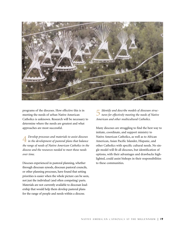

programs of the dioceses. How effective this is in meeting the needs of urban Native American Catholics is unknown. Research will be necessary to determine where the needs are greatest and what approaches are most successful.

**4** *Develop processes and materials to assist dioceses in the development of pastoral plans that balance the range of needs of Native American Catholics in the diocese and the resources needed to meet those needs over time.*

Dioceses experienced in pastoral planning, whether through diocesan synods, diocesan pastoral councils, or other planning processes, have found that setting priorities is easier when the whole picture can be seen, not just the individual (and often competing) parts. Materials are not currently available to diocesan leadership that would help them develop pastoral plans for the range of people and needs within a diocese.

**5***Identify and describe models of diocesan structures for effectively meeting the needs of Native American and other multicultural Catholics.*

Many dioceses are struggling to find the best way to initiate, coordinate, and support ministry to Native American Catholics, as well as to African American, Asian Pacific Islander, Hispanic, and other Catholics with specific cultural needs. No single model will fit all dioceses, but identification of options, with their advantages and drawbacks highlighted, could assist bishops in their responsibilities to these communities.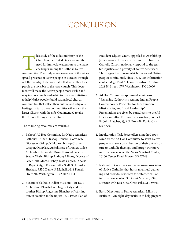# conclusion

This study of the oldest ministry of the<br>
Church in the United States focuses the<br>
need for immediate attention to the many<br>
challenges among the Catholic Native<br>
communities. The study raises awareness of the wide-Church in the United States focuses the need for immediate attention to the many challenges among the Catholic Native spread presence of Native people in dioceses throughout the country. It demonstrates that very often these people are invisible to the local church. This document will make the Native people more visible and may inspire church leadership to risk new initiatives to help Native peoples build strong local church communities that reflect their culture and religious heritage. In turn, these communities will enrich the larger Church with the gifts God intended to give the Church through their cultures.

The following resources are available:

- 1. Bishops' Ad Hoc Committee for Native American Catholics—Chair: Bishop Donald Pelotte, SSS, Diocese of Gallup, N.M.; Archbishop Charles Chaput, OFMCap., Archdiocese of Denver, Colo.; Archbishop Alexander Brunett, Archdiocese of Seattle, Wash.; Bishop Anthony Milone, Diocese of Great Falls, Mont.; Bishop Blase Cupich, Diocese of Rapid City, S.D. Committee Staff: Sr. Lourdes Sheehan, RSM; Daniel S. Mulhall, 3211 Fourth Street NE, Washington, DC 20017-1194
- 2. Bureau of Catholic Indian Missions—In 1874 Archbishop Blanchet of Oregon City and his brother Bishop Augustine Blanchet of Washington, in reaction to the unjust 1870 Peace Plan of

President Ulysses Grant, appealed to Archbishop James Roosevelt Bailey of Baltimore to have the Catholic Church nationally respond to the terrible injustices and poverty of Native Americans. Thus began the Bureau, which has served Native peoples continuously since 1874. For information contact Msgr. Paul A. Lenz, Executive Director, 2021 H. Street, NW, Washington, DC 20006

- 3. Ad Hoc Committee sponsored seminar— "Renewing Catholicism Among Indian People: Contemporary Principles for Inculturation, Missionaries, and Local Leadership." Presentations are given by consultants to the Ad Hoc Committee. For more information, contact Fr. John Hatcher, SJ, P.O. Box 678, Rapid City, SD 57709.
- 4. Inculturation Task Force offers a method sponsored by the Ad Hoc Committee to assist Native people to make a contribution of their gift of culture to Catholic theology and liturgy. For more information, contact the Sioux Spiritual Center, 20100 Center Road, Howes, SD 57748.
- 5. National Tekakwitha Conference—An association of Native Catholics that hosts an annual gathering and provides resources for catechetics. For information, contact Sr. Kateri Mitchell, SSA, Director, P.O. Box 6768, Great Falls, MT 59401.
- 6. Basic Directions in Native American Ministry Institute—An eight-day institute to help prepare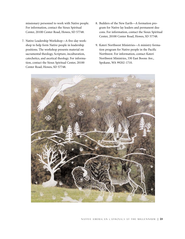missionary personnel to work with Native people. For information, contact the Sioux Spiritual Center, 20100 Center Road, Howes, SD 57748.

- 7. Native Leadership Workshop—A five-day workshop to help form Native people in leadership positions. The workshop presents material on sacramental theology, Scripture, inculturation, catechetics, and ascetical theology. For information, contact the Sioux Spiritual Center, 20100 Center Road, Howes, SD 57748.
- 8. Builders of the New Earth—A formation program for Native lay leaders and permanent deacons. For information, contact the Sioux Spiritual Center, 20100 Center Road, Howes, SD 57748.
- 9. Kateri Northwest Ministries—A ministry formation program for Native people in the Pacific Northwest. For information, contact Kateri Northwest Ministries, 330 East Boone Ave., Spokane, WA 99202-1710.

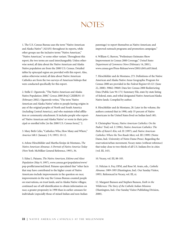# notes

1. The U.S. Census Bureau uses the term "Native American and Alaska Native" (AI/AN) throughout its reports, while other groups use the inclusive terms "Native American," "Native American," or some other variant. Throughout this report, the two terms are used interchangeably. Unless otherwise noted, all data about the Native American and Alaska Native population are from the 2000 U.S. Census. Detailed tables by episcopal region are provided with this report. Also, unless otherwise noted, all data about Native American Catholics are from the two surveys of American bishops that were conducted specifically for this report.

2. Stella U. Ogunwole, "The Native American and Alaska Native Population: 2000," *Census 2000 Brief*, C2KBR/01-15 (February 2002). Ogunwole writes, "The term 'Native American and Alaska Native' refers to people having origins in any of the original peoples of North and South America (including Central America), and who maintain tribal affiliation or community attachment. It includes people who reported 'Native American and Alaska Native' or wrote in their principal or enrolled tribe [in the 2000 U.S. Census form]," 2.

3. Mary Beth Celio, "Catholics: Who, How Many and Where," *America* 168:1 (January 2-9, 1993): 10-12.

4. Arlene Hirschfelder and Martha Kreipe de Montano, *The Native American Almanac: A Portrait of Native America Today* (New York: McMillan General Reference, 1993), 36.

5. Edna L. Paisano, *The Native American, Eskimo and Aleut Population* (May 9, 1997), www.census.gov/population/www/ pop-profile/amerind.html. Paisano speculated that "other facts that may have contributed to the higher count of Native Americans include improvements in the question on race; improvements in the way the Census Bureau counted people on reservations, on trust lands, and in Alaska Native villages; continued use of self-identification to obtain information on race; a greater propensity in 1990 than in earlier censuses for individuals (especially those of mixed Indian and non-Indian

parentage) to report themselves as Native American; and improved outreach programs and promotion campaigns."

6. William G. Barron, "Preliminary Estimates Show Improvement in Census 2000 Coverage," *United States Department of Commerce News* (February 14, 2001), www.census.gov/Press-Release/www/2001/cb01cn03.html.

7. Hirschfelder and de Montano, 273. Definitions of the Native American and Alaska Native Areas Geographic Program for Census 2000 are provided in the *Federal Register* 65:121 (June 22, 2000): 39062-39069. Data Set: Census 2000 Redistricting Data (Public Law 94-171) Summary File, state-by-state listing of federal, state, and tribal designated Native American/Alaska Native lands. Compiled by author.

8. Hirschfelder and de Montano, 28. Later in the volume, the authors contend that in 1990, only 35 percent of Native Americans in the United States lived on Indian land (40).

9. Christopher Vecsey, *Native American Catholics: On the Padres' Trail*, vol. I (1996); *Native American Catholics: The Paths of Kateri's Kin*, vol. II (1997); and *Native American Catholics: Where the Two Roads Meet*, vol. III (1999) (Notre Dame, Ind.: University of Notre Dame Press). Regarding the reservation/urban movement, Vecsey states (without reference) that today close to two-thirds of all U.S. Indians live in cities (vol. III, 145).

10. Vecsey, vol. III, 88-105.

11. Felician A. Foy, OFM, and Rose M. Avato, eds., *Catholic Almanac 1989-1995* (Huntington, Ind.: Our Sunday Visitor, 1995). Referenced in Vecsey, vol. III, xi.

12. Margaret Bunson and Stephen Bunson, *Faith in the Wilderness: The Story of the Catholic Indian Missions* (Huntington, Ind.: Our Sunday Visitor Publishing Division, 2000).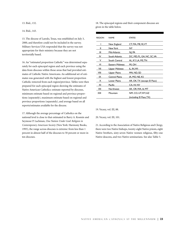13. Ibid., 132.

14. Ibid., 143.

15. The diocese of Laredo, Texas, was established on July 3, 2000, and therefore could not be included in the survey. Military Services USA responded that the survey was not appropriate for their ministry because they are not territorially based.

16. An "estimated proportion Catholic" was determined separately for each episcopal region and each province using the data from dioceses within those areas that had provided estimates of Catholic Native Americans. An additional set of estimates was generated with the highest and lowest proportion Catholic removed from each region/province. Tables were then prepared for each episcopal region showing the estimates of Native American Catholics: estimate reported by dioceses, minimum estimate based on regional and province proportions (separately), maximum estimate based on regional and province proportions (separately), and average based on all reports/estimates available for the diocese.

17. Although the average percentage of Catholics on the national level is close to that estimated in Barry A. Kosmin and Seymour P. Lachman, *One Nation Under God: Religion in Contemporary American Society* (New York: Harmony Books, 1993), the range across dioceses is extreme: from less than 1 percent in almost half of the dioceses to 50 percent or more in ten dioceses.

18. The episcopal regions and their component dioceses are given in the table below.

| <b>REGION</b> | <b>NAMF</b>     | <b>STATES</b>               |
|---------------|-----------------|-----------------------------|
|               | New England     | CT, MA, ME, RI, VT          |
| Ш             | New York        | NY                          |
| Ш             | Mid-Atlantic    | NJ, PA                      |
| I٧            | South Atlantic  | DC, MD, FL, GA, NC, SC, VA  |
| v             | South Central   | AL, KY, LA, MS, TN          |
| ٧I            | Eastern Midwest | MI, OH                      |
| VII           | Upper Midwest   | IL, IN, WI                  |
| VIII          | Upper Plains    | MN, ND, SD                  |
| ΙX            | Central Plains  | IA, MO, NE, KS              |
| Х             | Lower Plains    | AR, OK, TX (except El Paso) |
| ΧI            | Pacific         | CA, HI, NV                  |
| XII           | Northwest       | AK, OR, WA, Id, MT          |
| XIII          | Mountain        | NM, CO, UT, WY, AZ          |
|               |                 | (including El Paso, TX)     |

#### 19. Vecsey, vol. III, 88.

20. Vecsey, vol. III, 101.

21. According to the Association of Native Religious and Clergy, there were two Native bishops, twenty-eight Native priests, eight Native brothers, sixty-seven Native women religious, fifty-one Native deacons, and two Native seminarians. See also Table 5.